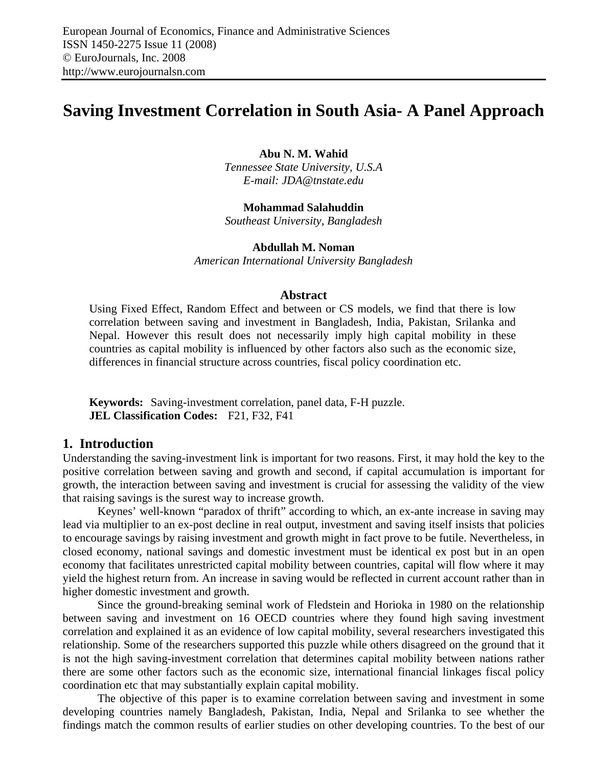# **Saving Investment Correlation in South Asia- A Panel Approach**

**Abu N. M. Wahid** 

*Tennessee State University, U.S.A E-mail: JDA@tnstate.edu* 

**Mohammad Salahuddin**  *Southeast University, Bangladesh* 

**Abdullah M. Noman** 

*American International University Bangladesh* 

#### **Abstract**

Using Fixed Effect, Random Effect and between or CS models, we find that there is low correlation between saving and investment in Bangladesh, India, Pakistan, Srilanka and Nepal. However this result does not necessarily imply high capital mobility in these countries as capital mobility is influenced by other factors also such as the economic size, differences in financial structure across countries, fiscal policy coordination etc.

**Keywords:** Saving-investment correlation, panel data, F-H puzzle. **JEL Classification Codes:** F21, F32, F41

### **1. Introduction**

Understanding the saving-investment link is important for two reasons. First, it may hold the key to the positive correlation between saving and growth and second, if capital accumulation is important for growth, the interaction between saving and investment is crucial for assessing the validity of the view that raising savings is the surest way to increase growth.

Keynes' well-known "paradox of thrift" according to which, an ex-ante increase in saving may lead via multiplier to an ex-post decline in real output, investment and saving itself insists that policies to encourage savings by raising investment and growth might in fact prove to be futile. Nevertheless, in closed economy, national savings and domestic investment must be identical ex post but in an open economy that facilitates unrestricted capital mobility between countries, capital will flow where it may yield the highest return from. An increase in saving would be reflected in current account rather than in higher domestic investment and growth.

Since the ground-breaking seminal work of Fledstein and Horioka in 1980 on the relationship between saving and investment on 16 OECD countries where they found high saving investment correlation and explained it as an evidence of low capital mobility, several researchers investigated this relationship. Some of the researchers supported this puzzle while others disagreed on the ground that it is not the high saving-investment correlation that determines capital mobility between nations rather there are some other factors such as the economic size, international financial linkages fiscal policy coordination etc that may substantially explain capital mobility.

The objective of this paper is to examine correlation between saving and investment in some developing countries namely Bangladesh, Pakistan, India, Nepal and Srilanka to see whether the findings match the common results of earlier studies on other developing countries. To the best of our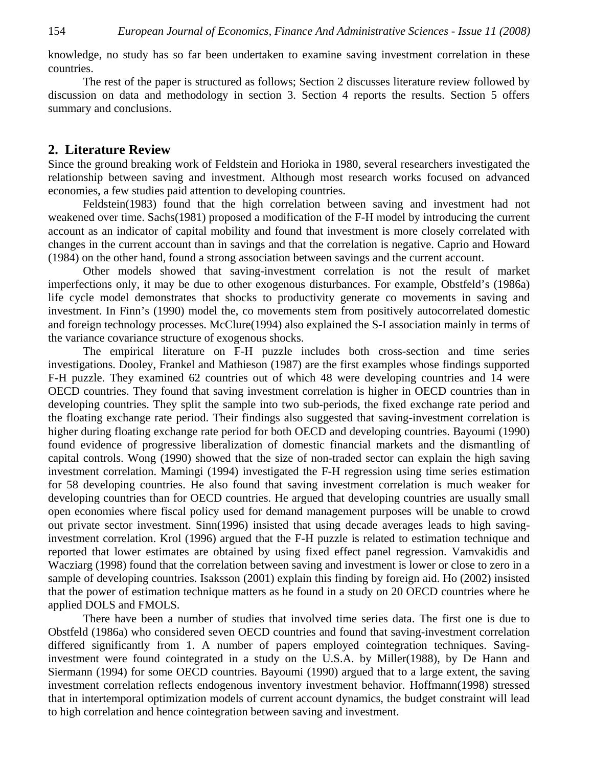knowledge, no study has so far been undertaken to examine saving investment correlation in these countries.

The rest of the paper is structured as follows; Section 2 discusses literature review followed by discussion on data and methodology in section 3. Section 4 reports the results. Section 5 offers summary and conclusions.

#### **2. Literature Review**

Since the ground breaking work of Feldstein and Horioka in 1980, several researchers investigated the relationship between saving and investment. Although most research works focused on advanced economies, a few studies paid attention to developing countries.

Feldstein(1983) found that the high correlation between saving and investment had not weakened over time. Sachs(1981) proposed a modification of the F-H model by introducing the current account as an indicator of capital mobility and found that investment is more closely correlated with changes in the current account than in savings and that the correlation is negative. Caprio and Howard (1984) on the other hand, found a strong association between savings and the current account.

Other models showed that saving-investment correlation is not the result of market imperfections only, it may be due to other exogenous disturbances. For example, Obstfeld's (1986a) life cycle model demonstrates that shocks to productivity generate co movements in saving and investment. In Finn's (1990) model the, co movements stem from positively autocorrelated domestic and foreign technology processes. McClure(1994) also explained the S-I association mainly in terms of the variance covariance structure of exogenous shocks.

The empirical literature on F-H puzzle includes both cross-section and time series investigations. Dooley, Frankel and Mathieson (1987) are the first examples whose findings supported F-H puzzle. They examined 62 countries out of which 48 were developing countries and 14 were OECD countries. They found that saving investment correlation is higher in OECD countries than in developing countries. They split the sample into two sub-periods, the fixed exchange rate period and the floating exchange rate period. Their findings also suggested that saving-investment correlation is higher during floating exchange rate period for both OECD and developing countries. Bayoumi (1990) found evidence of progressive liberalization of domestic financial markets and the dismantling of capital controls. Wong (1990) showed that the size of non-traded sector can explain the high saving investment correlation. Mamingi (1994) investigated the F-H regression using time series estimation for 58 developing countries. He also found that saving investment correlation is much weaker for developing countries than for OECD countries. He argued that developing countries are usually small open economies where fiscal policy used for demand management purposes will be unable to crowd out private sector investment. Sinn(1996) insisted that using decade averages leads to high savinginvestment correlation. Krol (1996) argued that the F-H puzzle is related to estimation technique and reported that lower estimates are obtained by using fixed effect panel regression. Vamvakidis and Wacziarg (1998) found that the correlation between saving and investment is lower or close to zero in a sample of developing countries. Isaksson (2001) explain this finding by foreign aid. Ho (2002) insisted that the power of estimation technique matters as he found in a study on 20 OECD countries where he applied DOLS and FMOLS.

There have been a number of studies that involved time series data. The first one is due to Obstfeld (1986a) who considered seven OECD countries and found that saving-investment correlation differed significantly from 1. A number of papers employed cointegration techniques. Savinginvestment were found cointegrated in a study on the U.S.A. by Miller(1988), by De Hann and Siermann (1994) for some OECD countries. Bayoumi (1990) argued that to a large extent, the saving investment correlation reflects endogenous inventory investment behavior. Hoffmann(1998) stressed that in intertemporal optimization models of current account dynamics, the budget constraint will lead to high correlation and hence cointegration between saving and investment.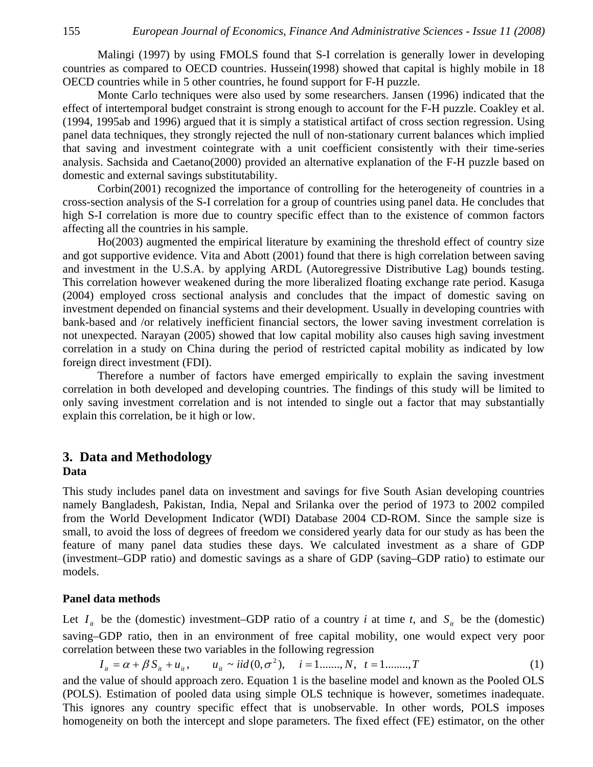Malingi (1997) by using FMOLS found that S-I correlation is generally lower in developing countries as compared to OECD countries. Hussein(1998) showed that capital is highly mobile in 18 OECD countries while in 5 other countries, he found support for F-H puzzle.

Monte Carlo techniques were also used by some researchers. Jansen (1996) indicated that the effect of intertemporal budget constraint is strong enough to account for the F-H puzzle. Coakley et al. (1994, 1995ab and 1996) argued that it is simply a statistical artifact of cross section regression. Using panel data techniques, they strongly rejected the null of non-stationary current balances which implied that saving and investment cointegrate with a unit coefficient consistently with their time-series analysis. Sachsida and Caetano(2000) provided an alternative explanation of the F-H puzzle based on domestic and external savings substitutability.

Corbin(2001) recognized the importance of controlling for the heterogeneity of countries in a cross-section analysis of the S-I correlation for a group of countries using panel data. He concludes that high S-I correlation is more due to country specific effect than to the existence of common factors affecting all the countries in his sample.

Ho(2003) augmented the empirical literature by examining the threshold effect of country size and got supportive evidence. Vita and Abott (2001) found that there is high correlation between saving and investment in the U.S.A. by applying ARDL (Autoregressive Distributive Lag) bounds testing. This correlation however weakened during the more liberalized floating exchange rate period. Kasuga (2004) employed cross sectional analysis and concludes that the impact of domestic saving on investment depended on financial systems and their development. Usually in developing countries with bank-based and /or relatively inefficient financial sectors, the lower saving investment correlation is not unexpected. Narayan (2005) showed that low capital mobility also causes high saving investment correlation in a study on China during the period of restricted capital mobility as indicated by low foreign direct investment (FDI).

Therefore a number of factors have emerged empirically to explain the saving investment correlation in both developed and developing countries. The findings of this study will be limited to only saving investment correlation and is not intended to single out a factor that may substantially explain this correlation, be it high or low.

#### **3. Data and Methodology Data**

This study includes panel data on investment and savings for five South Asian developing countries namely Bangladesh, Pakistan, India, Nepal and Srilanka over the period of 1973 to 2002 compiled from the World Development Indicator (WDI) Database 2004 CD-ROM. Since the sample size is small, to avoid the loss of degrees of freedom we considered yearly data for our study as has been the feature of many panel data studies these days. We calculated investment as a share of GDP (investment–GDP ratio) and domestic savings as a share of GDP (saving–GDP ratio) to estimate our models.

#### **Panel data methods**

Let  $I_{it}$  be the (domestic) investment–GDP ratio of a country *i* at time *t*, and  $S_{it}$  be the (domestic) saving–GDP ratio, then in an environment of free capital mobility, one would expect very poor correlation between these two variables in the following regression

$$
I_{it} = \alpha + \beta S_{it} + u_{it}, \qquad u_{it} \sim iid(0, \sigma^2), \quad i = 1, \ldots, N, \quad t = 1, \ldots, T
$$
 (1)

and the value of should approach zero. Equation 1 is the baseline model and known as the Pooled OLS (POLS). Estimation of pooled data using simple OLS technique is however, sometimes inadequate. This ignores any country specific effect that is unobservable. In other words, POLS imposes homogeneity on both the intercept and slope parameters. The fixed effect (FE) estimator, on the other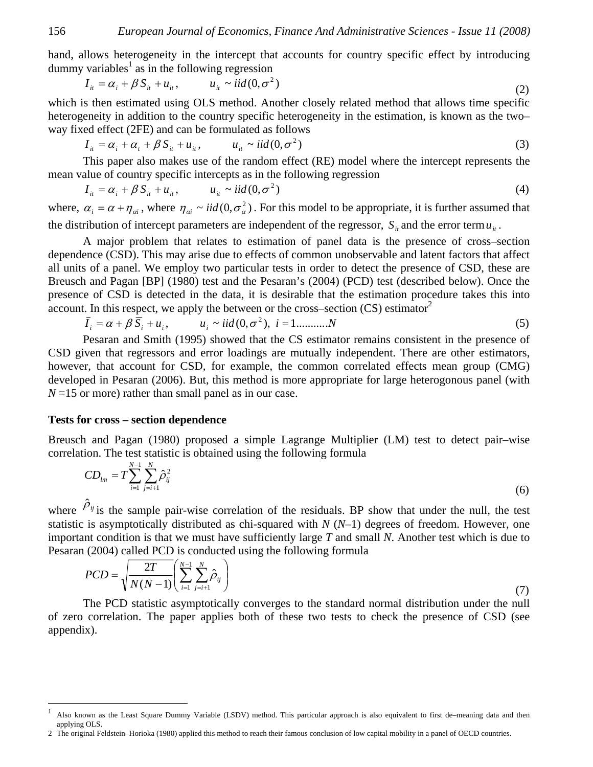hand, allows heterogeneity in the intercept that accounts for country specific effect by introducing dummy variables<sup>1</sup> as in the following regression

$$
I_{ii} = \alpha_i + \beta S_{ii} + u_{ii}, \qquad u_{ii} \sim \text{iid}(0, \sigma^2)
$$
 (2)

which is then estimated using OLS method. Another closely related method that allows time specific heterogeneity in addition to the country specific heterogeneity in the estimation, is known as the two– way fixed effect (2FE) and can be formulated as follows

$$
I_{it} = \alpha_i + \alpha_t + \beta S_{it} + u_{it}, \qquad u_{it} \sim iid(0, \sigma^2)
$$
 (3)

This paper also makes use of the random effect (RE) model where the intercept represents the mean value of country specific intercepts as in the following regression

$$
I_{ii} = \alpha_i + \beta S_{ii} + u_{ii}, \qquad u_{ii} \sim \text{iid}(0, \sigma^2)
$$
 (4)

where,  $\alpha_i = \alpha + \eta_{oi}$ , where  $\eta_{oi} \sim \text{iid}(0, \sigma^2)$ . For this model to be appropriate, it is further assumed that the distribution of intercept parameters are independent of the regressor,  $S_{it}$  and the error term  $u_{it}$ .

A major problem that relates to estimation of panel data is the presence of cross–section dependence (CSD). This may arise due to effects of common unobservable and latent factors that affect all units of a panel. We employ two particular tests in order to detect the presence of CSD, these are Breusch and Pagan [BP] (1980) test and the Pesaran's (2004) (PCD) test (described below). Once the presence of CSD is detected in the data, it is desirable that the estimation procedure takes this into account. In this respect, we apply the between or the cross–section  $(CS)$  estimator<sup>2</sup>

$$
\overline{I}_i = \alpha + \beta \overline{S}_i + u_i, \qquad u_i \sim i i d(0, \sigma^2), \quad i = 1, \dots, N
$$
 (5)

Pesaran and Smith (1995) showed that the CS estimator remains consistent in the presence of CSD given that regressors and error loadings are mutually independent. There are other estimators, however, that account for CSD, for example, the common correlated effects mean group (CMG) developed in Pesaran (2006). But, this method is more appropriate for large heterogonous panel (with  $N=15$  or more) rather than small panel as in our case.

#### **Tests for cross – section dependence**

Breusch and Pagan (1980) proposed a simple Lagrange Multiplier (LM) test to detect pair–wise correlation. The test statistic is obtained using the following formula

$$
CD_{lm} = T \sum_{i=1}^{N-1} \sum_{j=i+1}^{N} \hat{\rho}_{ij}^2
$$
 (6)

where  $\hat{\rho}_{ij}$  is the sample pair-wise correlation of the residuals. BP show that under the null, the test statistic is asymptotically distributed as chi-squared with *N* (*N*–1) degrees of freedom. However, one important condition is that we must have sufficiently large *T* and small *N*. Another test which is due to Pesaran (2004) called PCD is conducted using the following formula

$$
PCD = \sqrt{\frac{2T}{N(N-1)}} \left( \sum_{i=1}^{N-1} \sum_{j=i+1}^{N} \hat{\rho}_{ij} \right)
$$
 (7)

The PCD statistic asymptotically converges to the standard normal distribution under the null of zero correlation. The paper applies both of these two tests to check the presence of CSD (see appendix).

 $\overline{a}$ 

<sup>1</sup> Also known as the Least Square Dummy Variable (LSDV) method. This particular approach is also equivalent to first de–meaning data and then applying OLS.

<sup>2</sup> The original Feldstein–Horioka (1980) applied this method to reach their famous conclusion of low capital mobility in a panel of OECD countries.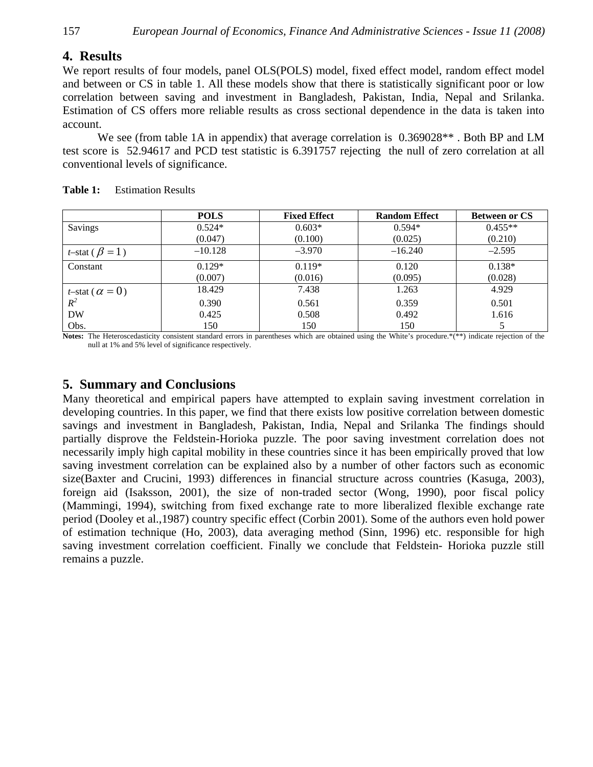## **4. Results**

We report results of four models, panel OLS(POLS) model, fixed effect model, random effect model and between or CS in table 1. All these models show that there is statistically significant poor or low correlation between saving and investment in Bangladesh, Pakistan, India, Nepal and Srilanka. Estimation of CS offers more reliable results as cross sectional dependence in the data is taken into account.

We see (from table 1A in appendix) that average correlation is  $0.369028**$ . Both BP and LM test score is 52.94617 and PCD test statistic is 6.391757 rejecting the null of zero correlation at all conventional levels of significance.

|                                 | <b>POLS</b> | <b>Fixed Effect</b> | <b>Random Effect</b> | <b>Between or CS</b> |
|---------------------------------|-------------|---------------------|----------------------|----------------------|
| Savings                         | $0.524*$    | $0.603*$            | $0.594*$             | $0.455**$            |
|                                 | (0.047)     | (0.100)             | (0.025)              | (0.210)              |
| <i>t</i> -stat ( $\beta$ = 1)   | $-10.128$   | $-3.970$            | $-16.240$            | $-2.595$             |
| Constant                        | $0.129*$    | $0.119*$            | 0.120                | $0.138*$             |
|                                 | (0.007)     | (0.016)             | (0.095)              | (0.028)              |
| <i>t</i> -stat ( $\alpha = 0$ ) | 18.429      | 7.438               | 1.263                | 4.929                |
| $R^2$                           | 0.390       | 0.561               | 0.359                | 0.501                |
| <b>DW</b>                       | 0.425       | 0.508               | 0.492                | 1.616                |
| Obs.                            | 150         | 150                 | 150                  |                      |

| <b>Table 1:</b> | <b>Estimation Results</b> |
|-----------------|---------------------------|
|                 |                           |

**Notes:** The Heteroscedasticity consistent standard errors in parentheses which are obtained using the White's procedure.\*(\*\*) indicate rejection of the null at 1% and 5% level of significance respectively.

## **5. Summary and Conclusions**

Many theoretical and empirical papers have attempted to explain saving investment correlation in developing countries. In this paper, we find that there exists low positive correlation between domestic savings and investment in Bangladesh, Pakistan, India, Nepal and Srilanka The findings should partially disprove the Feldstein-Horioka puzzle. The poor saving investment correlation does not necessarily imply high capital mobility in these countries since it has been empirically proved that low saving investment correlation can be explained also by a number of other factors such as economic size(Baxter and Crucini, 1993) differences in financial structure across countries (Kasuga, 2003), foreign aid (Isaksson, 2001), the size of non-traded sector (Wong, 1990), poor fiscal policy (Mammingi, 1994), switching from fixed exchange rate to more liberalized flexible exchange rate period (Dooley et al.,1987) country specific effect (Corbin 2001). Some of the authors even hold power of estimation technique (Ho, 2003), data averaging method (Sinn, 1996) etc. responsible for high saving investment correlation coefficient. Finally we conclude that Feldstein- Horioka puzzle still remains a puzzle.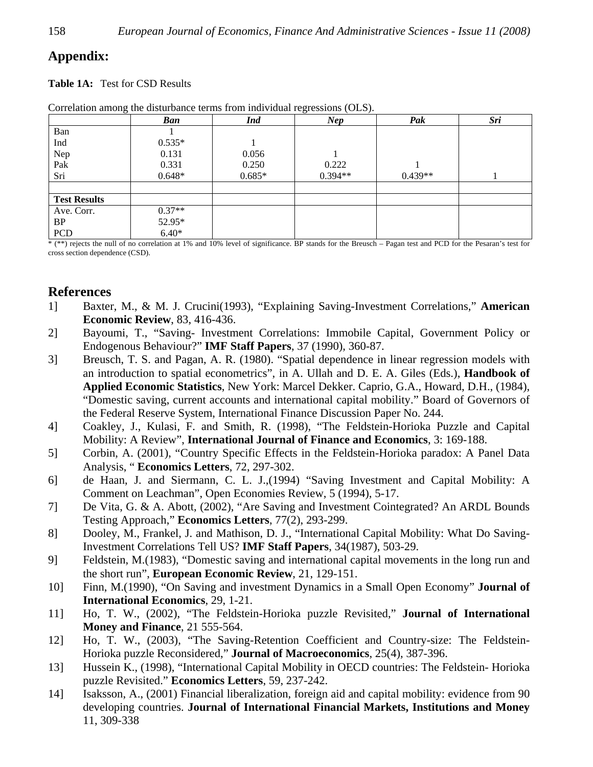## **Appendix:**

**Table 1A:** Test for CSD Results

|                     | Ban      | <b>Ind</b> | Nep       | Pak       | Sri |
|---------------------|----------|------------|-----------|-----------|-----|
| Ban                 |          |            |           |           |     |
| Ind                 | $0.535*$ |            |           |           |     |
| Nep                 | 0.131    | 0.056      |           |           |     |
| Pak                 | 0.331    | 0.250      | 0.222     |           |     |
| Sri                 | $0.648*$ | $0.685*$   | $0.394**$ | $0.439**$ |     |
|                     |          |            |           |           |     |
| <b>Test Results</b> |          |            |           |           |     |
| Ave. Corr.          | $0.37**$ |            |           |           |     |
| BP                  | 52.95*   |            |           |           |     |
| <b>PCD</b>          | $6.40*$  |            |           |           |     |

Correlation among the disturbance terms from individual regressions (OLS).

\* (\*\*) rejects the null of no correlation at 1% and 10% level of significance. BP stands for the Breusch – Pagan test and PCD for the Pesaran's test for cross section dependence (CSD).

## **References**

- 1] Baxter, M., & M. J. Crucini(1993), "Explaining Saving-Investment Correlations," **American Economic Review**, 83, 416-436.
- 2] Bayoumi, T., "Saving- Investment Correlations: Immobile Capital, Government Policy or Endogenous Behaviour?" **IMF Staff Papers**, 37 (1990), 360-87.
- 3] Breusch, T. S. and Pagan, A. R. (1980). "Spatial dependence in linear regression models with an introduction to spatial econometrics", in A. Ullah and D. E. A. Giles (Eds.), **Handbook of Applied Economic Statistics**, New York: Marcel Dekker. Caprio, G.A., Howard, D.H., (1984), "Domestic saving, current accounts and international capital mobility." Board of Governors of the Federal Reserve System, International Finance Discussion Paper No. 244.
- 4] Coakley, J., Kulasi, F. and Smith, R. (1998), "The Feldstein-Horioka Puzzle and Capital Mobility: A Review", **International Journal of Finance and Economics**, 3: 169-188.
- 5] Corbin, A. (2001), "Country Specific Effects in the Feldstein-Horioka paradox: A Panel Data Analysis, " **Economics Letters**, 72, 297-302.
- 6] de Haan, J. and Siermann, C. L. J.,(1994) "Saving Investment and Capital Mobility: A Comment on Leachman", Open Economies Review, 5 (1994), 5-17.
- 7] De Vita, G. & A. Abott, (2002), "Are Saving and Investment Cointegrated? An ARDL Bounds Testing Approach," **Economics Letters**, 77(2), 293-299.
- 8] Dooley, M., Frankel, J. and Mathison, D. J., "International Capital Mobility: What Do Saving-Investment Correlations Tell US? **IMF Staff Papers**, 34(1987), 503-29.
- 9] Feldstein, M.(1983), "Domestic saving and international capital movements in the long run and the short run", **European Economic Review**, 21, 129-151.
- 10] Finn, M.(1990), "On Saving and investment Dynamics in a Small Open Economy" **Journal of International Economics**, 29, 1-21.
- 11] Ho, T. W., (2002), "The Feldstein-Horioka puzzle Revisited," **Journal of International Money and Finance**, 21 555-564.
- 12] Ho, T. W., (2003), "The Saving-Retention Coefficient and Country-size: The Feldstein-Horioka puzzle Reconsidered," **Journal of Macroeconomics**, 25(4), 387-396.
- 13] Hussein K., (1998), "International Capital Mobility in OECD countries: The Feldstein- Horioka puzzle Revisited." **Economics Letters**, 59, 237-242.
- 14] Isaksson, A., (2001) Financial liberalization, foreign aid and capital mobility: evidence from 90 developing countries. **Journal of International Financial Markets, Institutions and Money** 11, 309-338